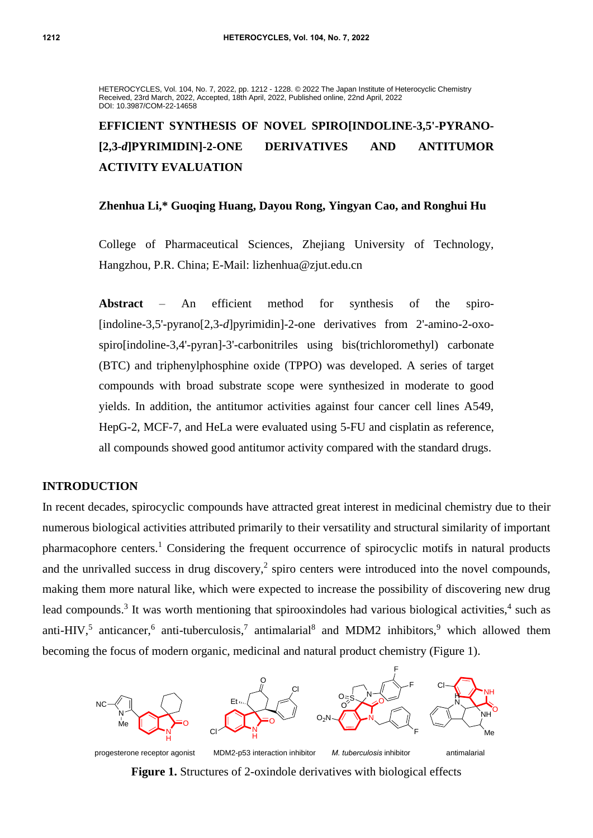HETEROCYCLES, Vol. 104, No. 7, 2022, pp. 1212 - 1228. © 2022 The Japan Institute of Heterocyclic Chemistry Received, 23rd March, 2022, Accepted, 18th April, 2022, Published online, 22nd April, 2022 DOI: 10.3987/COM-22-14658

# **EFFICIENT SYNTHESIS OF NOVEL SPIRO[INDOLINE-3,5'-PYRANO- [2,3-***d***]PYRIMIDIN]-2-ONE DERIVATIVES AND ANTITUMOR ACTIVITY EVALUATION**

### **Zhenhua Li,\* Guoqing Huang, Dayou Rong, Yingyan Cao, and Ronghui Hu**

College of Pharmaceutical Sciences, Zhejiang University of Technology, Hangzhou, P.R. China; E-Mail: lizhenhua@zjut.edu.cn

**Abstract** – An efficient method for synthesis of the spiro- [indoline-3,5'-pyrano[2,3-*d*]pyrimidin]-2-one derivatives from 2'-amino-2-oxospiro[indoline-3,4'-pyran]-3'-carbonitriles using bis(trichloromethyl) carbonate (BTC) and triphenylphosphine oxide (TPPO) was developed. A series of target compounds with broad substrate scope were synthesized in moderate to good yields. In addition, the antitumor activities against four cancer cell lines A549, HepG-2, MCF-7, and HeLa were evaluated using 5-FU and cisplatin as reference, all compounds showed good antitumor activity compared with the standard drugs.

#### **INTRODUCTION**

In recent decades, spirocyclic compounds have attracted great interest in medicinal chemistry due to their numerous biological activities attributed primarily to their versatility and structural similarity of important pharmacophore centers.<sup>1</sup> Considering the frequent occurrence of spirocyclic motifs in natural products and the unrivalled success in drug discovery,<sup>2</sup> spiro centers were introduced into the novel compounds, making them more natural like, which were expected to increase the possibility of discovering new drug lead compounds.<sup>3</sup> It was worth mentioning that spirooxindoles had various biological activities,<sup>4</sup> such as anti-HIV,<sup>5</sup> anticancer,<sup>6</sup> anti-tuberculosis,<sup>7</sup> antimalarial<sup>8</sup> and MDM2 inhibitors,<sup>9</sup> which allowed them becoming the focus of modern organic, medicinal and natural product chemistry (Figure 1).



**Figure 1.** Structures of 2-oxindole derivatives with biological effects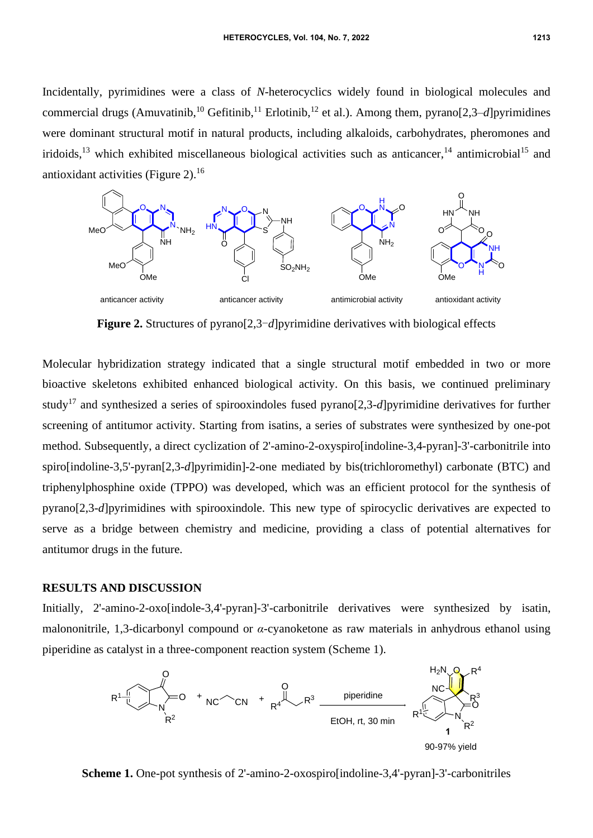Incidentally, pyrimidines were a class of *N*-heterocyclics widely found in biological molecules and commercial drugs (Amuvatinib,<sup>10</sup> Gefitinib,<sup>11</sup> Erlotinib,<sup>12</sup> et al.). Among them, pyrano[2,3–*d*]pyrimidines were dominant structural motif in natural products, including alkaloids, carbohydrates, pheromones and iridoids,<sup>13</sup> which exhibited miscellaneous biological activities such as anticancer,<sup>14</sup> antimicrobial<sup>15</sup> and antioxidant activities (Figure 2). $16$ 



**Figure 2.** Structures of pyrano[2,3-*d*]pyrimidine derivatives with biological effects

Molecular hybridization strategy indicated that a single structural motif embedded in two or more bioactive skeletons exhibited enhanced biological activity. On this basis, we continued preliminary study<sup>17</sup> and synthesized a series of spirooxindoles fused pyrano[2,3-*d*]pyrimidine derivatives for further screening of antitumor activity. Starting from isatins, a series of substrates were synthesized by one-pot method. Subsequently, a direct cyclization of 2'-amino-2-oxyspiro[indoline-3,4-pyran]-3'-carbonitrile into spiro[indoline-3,5'-pyran[2,3-*d*]pyrimidin]-2-one mediated by bis(trichloromethyl) carbonate (BTC) and triphenylphosphine oxide (TPPO) was developed, which was an efficient protocol for the synthesis of pyrano[2,3-*d*]pyrimidines with spirooxindole. This new type of spirocyclic derivatives are expected to serve as a bridge between chemistry and medicine, providing a class of potential alternatives for antitumor drugs in the future.

### **RESULTS AND DISCUSSION**

Initially, 2'-amino-2-oxo[indole-3,4'-pyran]-3'-carbonitrile derivatives were synthesized by isatin, malononitrile, 1,3-dicarbonyl compound or *α*-cyanoketone as raw materials in anhydrous ethanol using piperidine as catalyst in a three-component reaction system (Scheme 1).



**Scheme 1.** One-pot synthesis of 2'-amino-2-oxospiro[indoline-3,4'-pyran]-3'-carbonitriles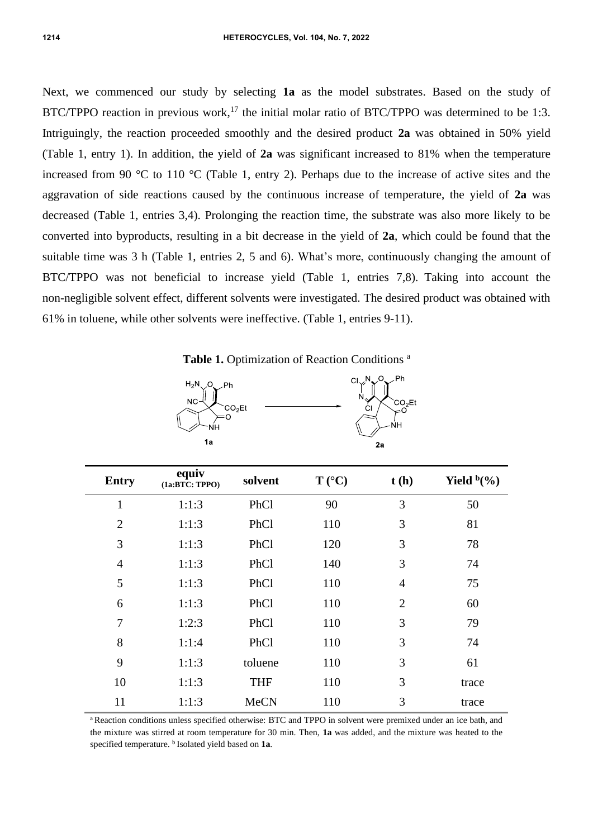Next, we commenced our study by selecting **1a** as the model substrates. Based on the study of BTC/TPPO reaction in previous work,<sup>17</sup> the initial molar ratio of BTC/TPPO was determined to be 1:3. Intriguingly, the reaction proceeded smoothly and the desired product **2a** was obtained in 50% yield (Table 1, entry 1). In addition, the yield of **2a** was significant increased to 81% when the temperature increased from 90 °C to 110 °C (Table 1, entry 2). Perhaps due to the increase of active sites and the aggravation of side reactions caused by the continuous increase of temperature, the yield of **2a** was decreased (Table 1, entries 3,4). Prolonging the reaction time, the substrate was also more likely to be converted into byproducts, resulting in a bit decrease in the yield of **2a**, which could be found that the suitable time was 3 h (Table 1, entries 2, 5 and 6). What's more, continuously changing the amount of BTC/TPPO was not beneficial to increase yield (Table 1, entries 7,8). Taking into account the non-negligible solvent effect, different solvents were investigated. The desired product was obtained with 61% in toluene, while other solvents were ineffective. (Table 1, entries 9-11).

Table 1. Optimization of Reaction Conditions<sup>a</sup>





| <b>Entry</b>   | equiv<br>$(1a:BT\bar{C}:TPPO)$ | solvent     | $T (^{\circ}C)$ | t(h)           | Yield $b(\%)$ |
|----------------|--------------------------------|-------------|-----------------|----------------|---------------|
| $\mathbf{1}$   | 1:1:3                          | PhCl        | 90              | 3              | 50            |
| $\overline{2}$ | 1:1:3                          | PhCl        | 110             | 3              | 81            |
| 3              | 1:1:3                          | PhCl        | 120             | 3              | 78            |
| $\overline{4}$ | 1:1:3                          | PhCl        | 140             | 3              | 74            |
| 5              | 1:1:3                          | PhCl        | 110             | $\overline{4}$ | 75            |
| 6              | 1:1:3                          | PhCl        | 110             | $\overline{2}$ | 60            |
| $\overline{7}$ | 1:2:3                          | PhCl        | 110             | 3              | 79            |
| 8              | 1:1:4                          | PhCl        | 110             | 3              | 74            |
| 9              | 1:1:3                          | toluene     | 110             | 3              | 61            |
| 10             | 1:1:3                          | <b>THF</b>  | 110             | 3              | trace         |
| 11             | 1:1:3                          | <b>MeCN</b> | 110             | 3              | trace         |

<sup>a</sup> Reaction conditions unless specified otherwise: BTC and TPPO in solvent were premixed under an ice bath, and the mixture was stirred at room temperature for 30 min. Then, **1a** was added, and the mixture was heated to the specified temperature. <sup>b</sup> Isolated yield based on **1a**.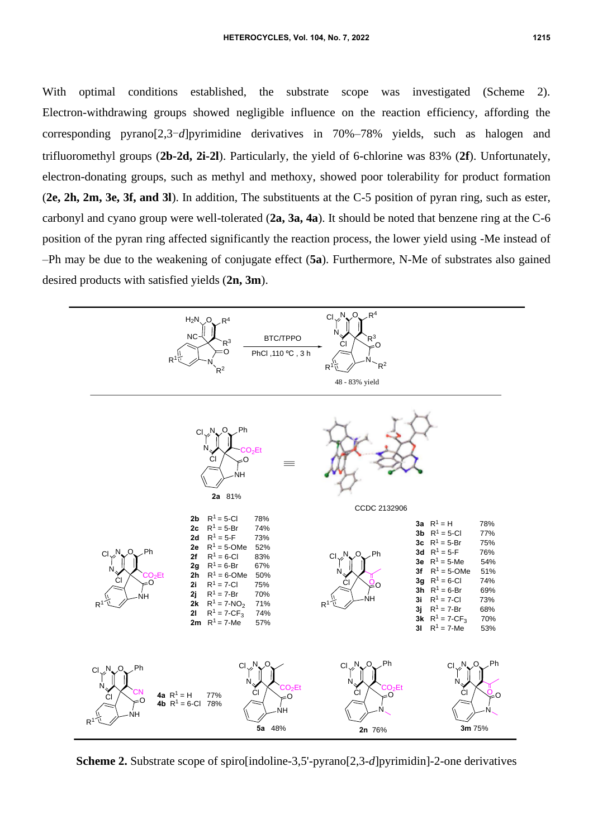With optimal conditions established, the substrate scope was investigated (Scheme 2). Electron-withdrawing groups showed negligible influence on the reaction efficiency, affording the corresponding pyrano[2,3-*d*]pyrimidine derivatives in 70%–78% yields, such as halogen and trifluoromethyl groups (**2b-2d, 2i-2l**). Particularly, the yield of 6-chlorine was 83% (**2f**). Unfortunately, electron-donating groups, such as methyl and methoxy, showed poor tolerability for product formation (**2e, 2h, 2m, 3e, 3f, and 3l**). In addition, The substituents at the C-5 position of pyran ring, such as ester, carbonyl and cyano group were well-tolerated (**2a, 3a, 4a**). It should be noted that benzene ring at the C-6 position of the pyran ring affected significantly the reaction process, the lower yield using -Me instead of –Ph may be due to the weakening of conjugate effect (**5a**). Furthermore, N-Me of substrates also gained desired products with satisfied yields (**2n, 3m**).



**Scheme 2.** Substrate scope of spiro[indoline-3,5'-pyrano[2,3-*d*]pyrimidin]-2-one derivatives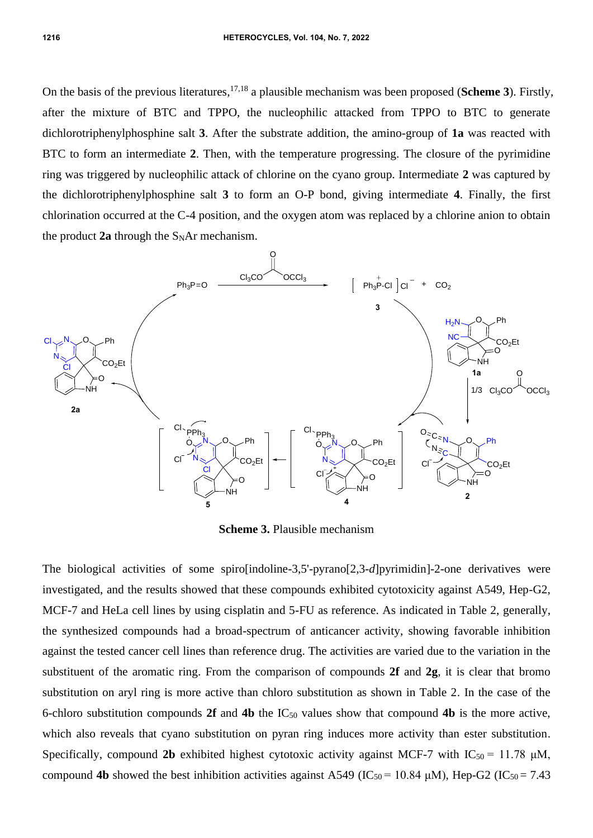On the basis of the previous literatures, 17,18 a plausible mechanism was been proposed (**Scheme 3**). Firstly, after the mixture of BTC and TPPO, the nucleophilic attacked from TPPO to BTC to generate dichlorotriphenylphosphine salt **3**. After the substrate addition, the amino-group of **1a** was reacted with BTC to form an intermediate **2**. Then, with the temperature progressing. The closure of the pyrimidine ring was triggered by nucleophilic attack of chlorine on the cyano group. Intermediate **2** was captured by the dichlorotriphenylphosphine salt **3** to form an O-P bond, giving intermediate **4**. Finally, the first chlorination occurred at the C-4 position, and the oxygen atom was replaced by a chlorine anion to obtain the product  $2a$  through the  $S<sub>N</sub>Ar$  mechanism.



**Scheme 3.** Plausible mechanism

The biological activities of some spiro[indoline-3,5'-pyrano[2,3-*d*]pyrimidin]-2-one derivatives were investigated, and the results showed that these compounds exhibited cytotoxicity against A549, Hep-G2, MCF-7 and HeLa cell lines by using cisplatin and 5-FU as reference. As indicated in Table 2, generally, the synthesized compounds had a broad-spectrum of anticancer activity, showing favorable inhibition against the tested cancer cell lines than reference drug. The activities are varied due to the variation in the substituent of the aromatic ring. From the comparison of compounds **2f** and **2g**, it is clear that bromo substitution on aryl ring is more active than chloro substitution as shown in Table 2. In the case of the 6-chloro substitution compounds 2f and 4b the  $IC_{50}$  values show that compound 4b is the more active, which also reveals that cyano substitution on pyran ring induces more activity than ester substitution. Specifically, compound 2b exhibited highest cytotoxic activity against MCF-7 with  $IC_{50} = 11.78 \mu M$ ,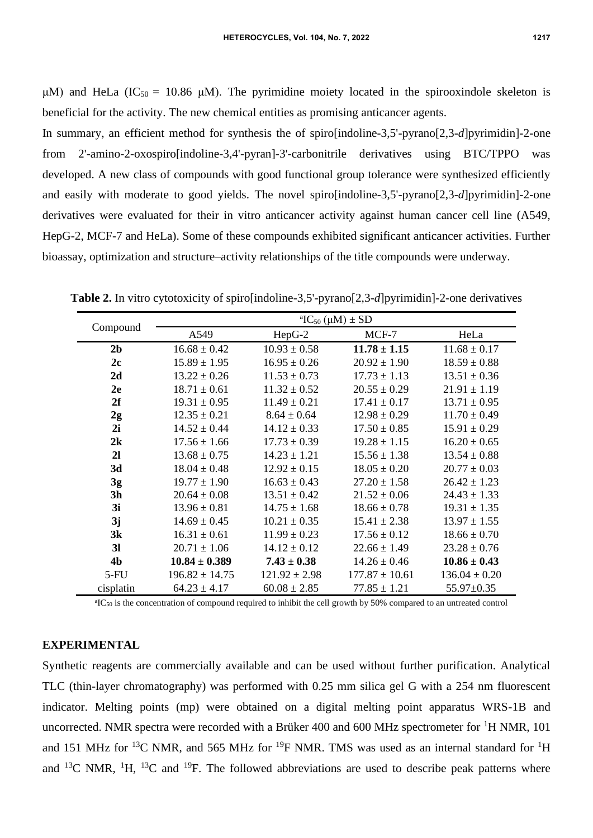μM) and HeLa (IC<sub>50</sub> = 10.86 μM). The pyrimidine moiety located in the spirooxindole skeleton is beneficial for the activity. The new chemical entities as promising anticancer agents.

In summary, an efficient method for synthesis the of spiro[indoline-3,5'-pyrano[2,3-*d*]pyrimidin]-2-one from 2'-amino-2-oxospiro[indoline-3,4'-pyran]-3'-carbonitrile derivatives using BTC/TPPO was developed. A new class of compounds with good functional group tolerance were synthesized efficiently and easily with moderate to good yields. The novel spiro[indoline-3,5'-pyrano[2,3-*d*]pyrimidin]-2-one derivatives were evaluated for their in vitro anticancer activity against human cancer cell line (A549, HepG-2, MCF-7 and HeLa). Some of these compounds exhibited significant anticancer activities. Further bioassay, optimization and structure–activity relationships of the title compounds were underway.

|                | <sup>a</sup> IC <sub>50</sub> ( $\mu$ M) $\pm$ SD |                   |                    |                   |  |  |
|----------------|---------------------------------------------------|-------------------|--------------------|-------------------|--|--|
| Compound       | A549                                              | HepG-2            | MCF-7              | HeLa              |  |  |
| 2 <sub>b</sub> | $16.68 \pm 0.42$                                  | $10.93 \pm 0.58$  | $11.78 \pm 1.15$   | $11.68 \pm 0.17$  |  |  |
| 2c             | $15.89 \pm 1.95$                                  | $16.95 \pm 0.26$  | $20.92 \pm 1.90$   | $18.59 \pm 0.88$  |  |  |
| 2d             | $13.22 \pm 0.26$                                  | $11.53 \pm 0.73$  | $17.73 \pm 1.13$   | $13.51 \pm 0.36$  |  |  |
| 2e             | $18.71 \pm 0.61$                                  | $11.32 \pm 0.52$  | $20.55 \pm 0.29$   | $21.91 \pm 1.19$  |  |  |
| 2f             | $19.31 \pm 0.95$                                  | $11.49 \pm 0.21$  | $17.41 \pm 0.17$   | $13.71 \pm 0.95$  |  |  |
| 2g             | $12.35 \pm 0.21$                                  | $8.64 \pm 0.64$   | $12.98 \pm 0.29$   | $11.70 \pm 0.49$  |  |  |
| 2i             | $14.52 \pm 0.44$                                  | $14.12 \pm 0.33$  | $17.50 \pm 0.85$   | $15.91 \pm 0.29$  |  |  |
| 2k             | $17.56 \pm 1.66$                                  | $17.73 \pm 0.39$  | $19.28 \pm 1.15$   | $16.20 \pm 0.65$  |  |  |
| 21             | $13.68 \pm 0.75$                                  | $14.23 \pm 1.21$  | $15.56 \pm 1.38$   | $13.54 \pm 0.88$  |  |  |
| 3d             | $18.04 \pm 0.48$                                  | $12.92 \pm 0.15$  | $18.05 \pm 0.20$   | $20.77 \pm 0.03$  |  |  |
| 3g             | $19.77 \pm 1.90$                                  | $16.63 \pm 0.43$  | $27.20 \pm 1.58$   | $26.42 \pm 1.23$  |  |  |
| 3 <sub>h</sub> | $20.64 \pm 0.08$                                  | $13.51 \pm 0.42$  | $21.52 \pm 0.06$   | $24.43 \pm 1.33$  |  |  |
| 3i             | $13.96 \pm 0.81$                                  | $14.75 \pm 1.68$  | $18.66 \pm 0.78$   | $19.31 \pm 1.35$  |  |  |
| 3j             | $14.69 \pm 0.45$                                  | $10.21 \pm 0.35$  | $15.41 \pm 2.38$   | $13.97 \pm 1.55$  |  |  |
| 3k             | $16.31 \pm 0.61$                                  | $11.99 \pm 0.23$  | $17.56 \pm 0.12$   | $18.66 \pm 0.70$  |  |  |
| 3 <sub>l</sub> | $20.71 \pm 1.06$                                  | $14.12 \pm 0.12$  | $22.66 \pm 1.49$   | $23.28 \pm 0.76$  |  |  |
| 4 <sub>b</sub> | $10.84 \pm 0.389$                                 | $7.43 \pm 0.38$   | $14.26 \pm 0.46$   | $10.86 \pm 0.43$  |  |  |
| $5-FU$         | $196.82 \pm 14.75$                                | $121.92 \pm 2.98$ | $177.87 \pm 10.61$ | $136.04 \pm 0.20$ |  |  |
| cisplatin      | $64.23 \pm 4.17$                                  | $60.08 \pm 2.85$  | $77.85 \pm 1.21$   | 55.97±0.35        |  |  |
|                |                                                   |                   |                    |                   |  |  |

**Table 2.** In vitro cytotoxicity of spiro[indoline-3,5'-pyrano[2,3-*d*]pyrimidin]-2-one derivatives

<sup>a</sup>IC<sub>50</sub> is the concentration of compound required to inhibit the cell growth by 50% compared to an untreated control

### **EXPERIMENTAL**

Synthetic reagents are commercially available and can be used without further purification. Analytical TLC (thin-layer chromatography) was performed with 0.25 mm silica gel G with a 254 nm fluorescent indicator. Melting points (mp) were obtained on a digital melting point apparatus WRS-1B and uncorrected. NMR spectra were recorded with a Brüker 400 and 600 MHz spectrometer for <sup>1</sup>H NMR, 101 and 151 MHz for <sup>13</sup>C NMR, and 565 MHz for <sup>19</sup>F NMR. TMS was used as an internal standard for <sup>1</sup>H and <sup>13</sup>C NMR, <sup>1</sup>H, <sup>13</sup>C and <sup>19</sup>F. The followed abbreviations are used to describe peak patterns where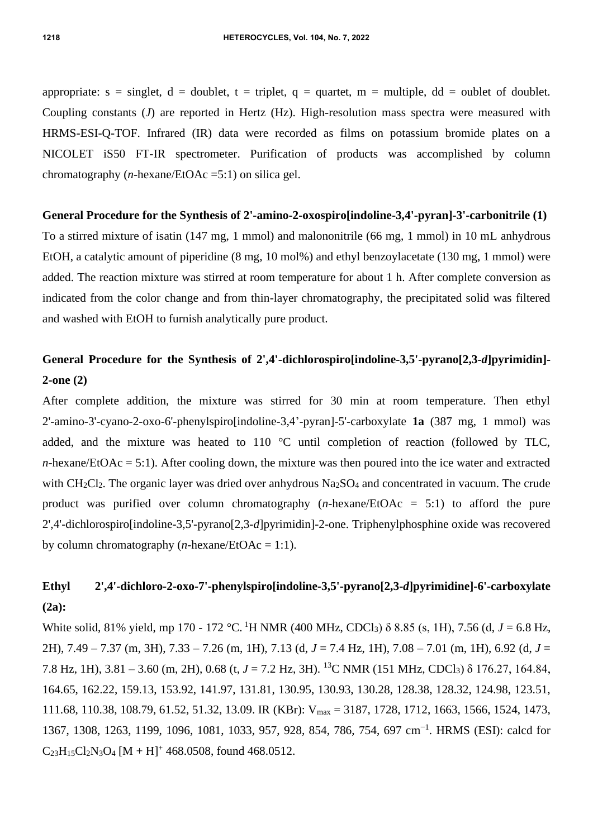appropriate:  $s = singlet$ ,  $d = doublet$ ,  $t = triplet$ ,  $q = quartet$ ,  $m = multiple$ ,  $dd = oublet$  of doublet. Coupling constants (*J*) are reported in Hertz (Hz). High-resolution mass spectra were measured with HRMS-ESI-Q-TOF. Infrared (IR) data were recorded as films on potassium bromide plates on a NICOLET iS50 FT-IR spectrometer. Purification of products was accomplished by column chromatography (*n*-hexane/EtOAc =5:1) on silica gel.

#### **General Procedure for the Synthesis of 2'-amino-2-oxospiro[indoline-3,4'-pyran]-3'-carbonitrile (1)**

To a stirred mixture of isatin (147 mg, 1 mmol) and malononitrile (66 mg, 1 mmol) in 10 mL anhydrous EtOH, a catalytic amount of piperidine (8 mg, 10 mol%) and ethyl benzoylacetate (130 mg, 1 mmol) were added. The reaction mixture was stirred at room temperature for about 1 h. After complete conversion as indicated from the color change and from thin-layer chromatography, the precipitated solid was filtered and washed with EtOH to furnish analytically pure product.

## **General Procedure for the Synthesis of 2',4'-dichlorospiro[indoline-3,5'-pyrano[2,3-***d***]pyrimidin]- 2-one (2)**

After complete addition, the mixture was stirred for 30 min at room temperature. Then ethyl 2'-amino-3'-cyano-2-oxo-6'-phenylspiro[indoline-3,4'-pyran]-5'-carboxylate **1a** (387 mg, 1 mmol) was added, and the mixture was heated to 110 °C until completion of reaction (followed by TLC, *n*-hexane/EtOAc = 5:1). After cooling down, the mixture was then poured into the ice water and extracted with  $CH_2Cl_2$ . The organic layer was dried over anhydrous  $Na_2SO_4$  and concentrated in vacuum. The crude product was purified over column chromatography (*n*-hexane/EtOAc = 5:1) to afford the pure 2',4'-dichlorospiro[indoline-3,5'-pyrano[2,3-*d*]pyrimidin]-2-one. Triphenylphosphine oxide was recovered by column chromatography (*n*-hexane/EtOAc = 1:1).

## **Ethyl 2',4'-dichloro-2-oxo-7'-phenylspiro[indoline-3,5'-pyrano[2,3-***d***]pyrimidine]-6'-carboxylate (2a):**

White solid, 81% yield, mp 170 - 172 °C. <sup>1</sup>H NMR (400 MHz, CDCl3) δ 8.85 (s, 1H), 7.56 (d, *J* = 6.8 Hz, 2H), 7.49 – 7.37 (m, 3H), 7.33 – 7.26 (m, 1H), 7.13 (d, *J* = 7.4 Hz, 1H), 7.08 – 7.01 (m, 1H), 6.92 (d, *J* = 7.8 Hz, 1H), 3.81 – 3.60 (m, 2H), 0.68 (t, *J* = 7.2 Hz, 3H). <sup>13</sup>C NMR (151 MHz, CDCl3) δ 176.27, 164.84, 164.65, 162.22, 159.13, 153.92, 141.97, 131.81, 130.95, 130.93, 130.28, 128.38, 128.32, 124.98, 123.51, 111.68, 110.38, 108.79, 61.52, 51.32, 13.09. IR (KBr): Vmax = 3187, 1728, 1712, 1663, 1566, 1524, 1473, 1367, 1308, 1263, 1199, 1096, 1081, 1033, 957, 928, 854, 786, 754, 697 cm<sup>-1</sup>. HRMS (ESI): calcd for  $C_{23}H_{15}Cl_2N_3O_4 [M + H]^+$  468.0508, found 468.0512.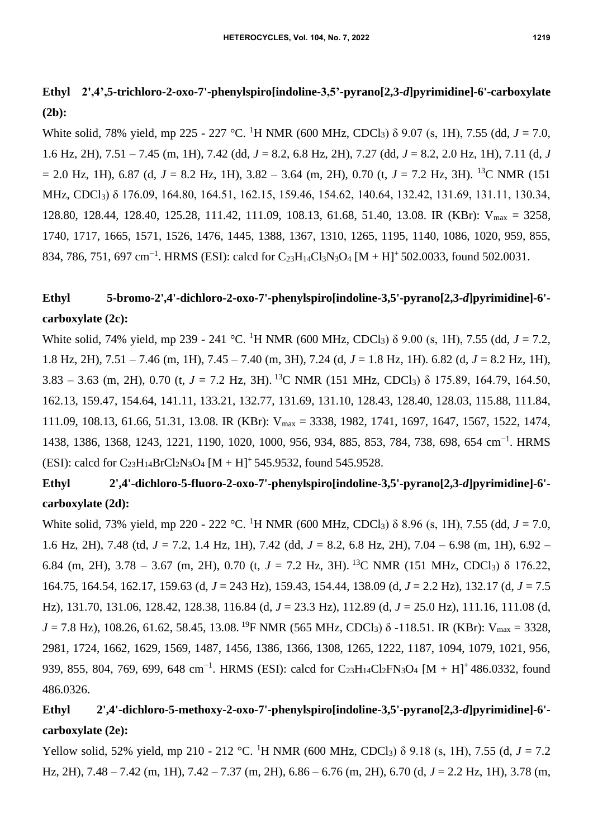## **Ethyl 2',4',5-trichloro-2-oxo-7'-phenylspiro[indoline-3,5'-pyrano[2,3-***d***]pyrimidine]-6'-carboxylate (2b):**

White solid, 78% yield, mp 225 - 227 °C. <sup>1</sup>H NMR (600 MHz, CDCl<sub>3</sub>) δ 9.07 (s, 1H), 7.55 (dd, *J* = 7.0, 1.6 Hz, 2H), 7.51 – 7.45 (m, 1H), 7.42 (dd, *J* = 8.2, 6.8 Hz, 2H), 7.27 (dd, *J* = 8.2, 2.0 Hz, 1H), 7.11 (d, *J*  $= 2.0$  Hz, 1H), 6.87 (d,  $J = 8.2$  Hz, 1H), 3.82 – 3.64 (m, 2H), 0.70 (t,  $J = 7.2$  Hz, 3H). <sup>13</sup>C NMR (151) MHz, CDCl3) δ 176.09, 164.80, 164.51, 162.15, 159.46, 154.62, 140.64, 132.42, 131.69, 131.11, 130.34, 128.80, 128.44, 128.40, 125.28, 111.42, 111.09, 108.13, 61.68, 51.40, 13.08. IR (KBr): Vmax = 3258, 1740, 1717, 1665, 1571, 1526, 1476, 1445, 1388, 1367, 1310, 1265, 1195, 1140, 1086, 1020, 959, 855, 834, 786, 751, 697 cm<sup>-1</sup>. HRMS (ESI): calcd for C<sub>23</sub>H<sub>14</sub>Cl<sub>3</sub>N<sub>3</sub>O<sub>4</sub> [M + H]<sup>+</sup> 502.0033, found 502.0031.

## **Ethyl 5-bromo-2',4'-dichloro-2-oxo-7'-phenylspiro[indoline-3,5'-pyrano[2,3-***d***]pyrimidine]-6' carboxylate (2c):**

White solid, 74% yield, mp 239 - 241 °C. <sup>1</sup>H NMR (600 MHz, CDCl3) δ 9.00 (s, 1H), 7.55 (dd, *J* = 7.2, 1.8 Hz, 2H), 7.51 – 7.46 (m, 1H), 7.45 – 7.40 (m, 3H), 7.24 (d, *J* = 1.8 Hz, 1H). 6.82 (d, *J* = 8.2 Hz, 1H), 3.83 – 3.63 (m, 2H), 0.70 (t, *J* = 7.2 Hz, 3H). <sup>13</sup>C NMR (151 MHz, CDCl3) δ 175.89, 164.79, 164.50, 162.13, 159.47, 154.64, 141.11, 133.21, 132.77, 131.69, 131.10, 128.43, 128.40, 128.03, 115.88, 111.84, 111.09, 108.13, 61.66, 51.31, 13.08. IR (KBr): Vmax = 3338, 1982, 1741, 1697, 1647, 1567, 1522, 1474, 1438, 1386, 1368, 1243, 1221, 1190, 1020, 1000, 956, 934, 885, 853, 784, 738, 698, 654 cm−1 . HRMS (ESI): calcd for  $C_{23}H_{14}BrCl<sub>2</sub>N<sub>3</sub>O<sub>4</sub> [M + H]<sup>+</sup> 545.9532$ , found 545.9528.

# **Ethyl 2',4'-dichloro-5-fluoro-2-oxo-7'-phenylspiro[indoline-3,5'-pyrano[2,3-***d***]pyrimidine]-6' carboxylate (2d):**

White solid, 73% yield, mp 220 - 222 °C. <sup>1</sup>H NMR (600 MHz, CDCl<sub>3</sub>) δ 8.96 (s, 1H), 7.55 (dd, *J* = 7.0, 1.6 Hz, 2H), 7.48 (td, *J* = 7.2, 1.4 Hz, 1H), 7.42 (dd, *J* = 8.2, 6.8 Hz, 2H), 7.04 – 6.98 (m, 1H), 6.92 – 6.84 (m, 2H), 3.78 – 3.67 (m, 2H), 0.70 (t, *J* = 7.2 Hz, 3H). <sup>13</sup>C NMR (151 MHz, CDCl3) δ 176.22, 164.75, 164.54, 162.17, 159.63 (d, *J* = 243 Hz), 159.43, 154.44, 138.09 (d, *J* = 2.2 Hz), 132.17 (d, *J* = 7.5 Hz), 131.70, 131.06, 128.42, 128.38, 116.84 (d, *J* = 23.3 Hz), 112.89 (d, *J* = 25.0 Hz), 111.16, 111.08 (d, *J* = 7.8 Hz), 108.26, 61.62, 58.45, 13.08. <sup>19</sup>F NMR (565 MHz, CDCl<sub>3</sub>) δ -118.51. IR (KBr): V<sub>max</sub> = 3328, 2981, 1724, 1662, 1629, 1569, 1487, 1456, 1386, 1366, 1308, 1265, 1222, 1187, 1094, 1079, 1021, 956, 939, 855, 804, 769, 699, 648 cm<sup>-1</sup>. HRMS (ESI): calcd for C<sub>23</sub>H<sub>14</sub>Cl<sub>2</sub>FN<sub>3</sub>O<sub>4</sub> [M + H]<sup>+</sup> 486.0332, found 486.0326.

## **Ethyl 2',4'-dichloro-5-methoxy-2-oxo-7'-phenylspiro[indoline-3,5'-pyrano[2,3-***d***]pyrimidine]-6' carboxylate (2e):**

Yellow solid, 52% yield, mp 210 - 212 °C. <sup>1</sup>H NMR (600 MHz, CDCl3) δ 9.18 (s, 1H), 7.55 (d, *J* = 7.2 Hz, 2H), 7.48 – 7.42 (m, 1H), 7.42 – 7.37 (m, 2H), 6.86 – 6.76 (m, 2H), 6.70 (d, *J* = 2.2 Hz, 1H), 3.78 (m,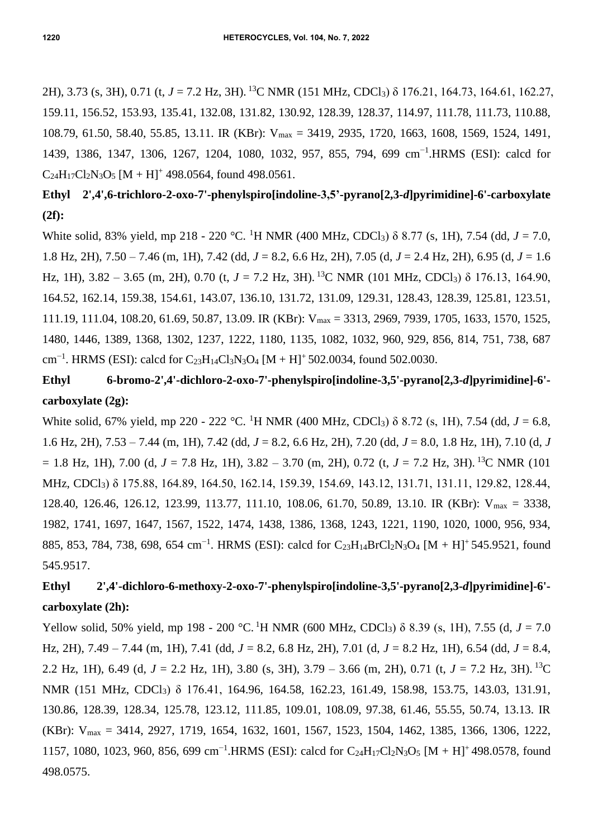2H), 3.73 (s, 3H), 0.71 (t, *J* = 7.2 Hz, 3H). <sup>13</sup>C NMR (151 MHz, CDCl3) δ 176.21, 164.73, 164.61, 162.27, 159.11, 156.52, 153.93, 135.41, 132.08, 131.82, 130.92, 128.39, 128.37, 114.97, 111.78, 111.73, 110.88, 108.79, 61.50, 58.40, 55.85, 13.11. IR (KBr): Vmax = 3419, 2935, 1720, 1663, 1608, 1569, 1524, 1491, 1439, 1386, 1347, 1306, 1267, 1204, 1080, 1032, 957, 855, 794, 699 cm−1 .HRMS (ESI): calcd for  $C_{24}H_{17}Cl_{2}N_{3}O_{5}[M+H]^{+}$  498.0564, found 498.0561.

### **Ethyl 2',4',6-trichloro-2-oxo-7'-phenylspiro[indoline-3,5'-pyrano[2,3-***d***]pyrimidine]-6'-carboxylate (2f):**

White solid, 83% yield, mp 218 - 220 °C. <sup>1</sup>H NMR (400 MHz, CDCl<sub>3</sub>) δ 8.77 (s, 1H), 7.54 (dd, *J* = 7.0, 1.8 Hz, 2H), 7.50 – 7.46 (m, 1H), 7.42 (dd, *J* = 8.2, 6.6 Hz, 2H), 7.05 (d, *J* = 2.4 Hz, 2H), 6.95 (d, *J* = 1.6 Hz, 1H),  $3.82 - 3.65$  (m, 2H), 0.70 (t,  $J = 7.2$  Hz, 3H). <sup>13</sup>C NMR (101 MHz, CDCl<sub>3</sub>)  $\delta$  176.13, 164.90, 164.52, 162.14, 159.38, 154.61, 143.07, 136.10, 131.72, 131.09, 129.31, 128.43, 128.39, 125.81, 123.51, 111.19, 111.04, 108.20, 61.69, 50.87, 13.09. IR (KBr): V<sub>max</sub> = 3313, 2969, 7939, 1705, 1633, 1570, 1525, 1480, 1446, 1389, 1368, 1302, 1237, 1222, 1180, 1135, 1082, 1032, 960, 929, 856, 814, 751, 738, 687 cm<sup>-1</sup>. HRMS (ESI): calcd for C<sub>23</sub>H<sub>14</sub>Cl<sub>3</sub>N<sub>3</sub>O<sub>4</sub> [M + H]<sup>+</sup> 502.0034, found 502.0030.

# **Ethyl 6-bromo-2',4'-dichloro-2-oxo-7'-phenylspiro[indoline-3,5'-pyrano[2,3-***d***]pyrimidine]-6' carboxylate (2g):**

White solid, 67% yield, mp 220 - 222 °C. <sup>1</sup>H NMR (400 MHz, CDCl3) δ 8.72 (s, 1H), 7.54 (dd, *J* = 6.8, 1.6 Hz, 2H), 7.53 – 7.44 (m, 1H), 7.42 (dd, *J* = 8.2, 6.6 Hz, 2H), 7.20 (dd, *J* = 8.0, 1.8 Hz, 1H), 7.10 (d, *J*  $= 1.8$  Hz, 1H), 7.00 (d,  $J = 7.8$  Hz, 1H), 3.82 – 3.70 (m, 2H), 0.72 (t,  $J = 7.2$  Hz, 3H). <sup>13</sup>C NMR (101) MHz, CDCl3) δ 175.88, 164.89, 164.50, 162.14, 159.39, 154.69, 143.12, 131.71, 131.11, 129.82, 128.44, 128.40, 126.46, 126.12, 123.99, 113.77, 111.10, 108.06, 61.70, 50.89, 13.10. IR (KBr): Vmax = 3338, 1982, 1741, 1697, 1647, 1567, 1522, 1474, 1438, 1386, 1368, 1243, 1221, 1190, 1020, 1000, 956, 934, 885, 853, 784, 738, 698, 654 cm<sup>-1</sup>. HRMS (ESI): calcd for C<sub>23</sub>H<sub>14</sub>BrCl<sub>2</sub>N<sub>3</sub>O<sub>4</sub> [M + H]<sup>+</sup> 545.9521, found 545.9517.

## **Ethyl 2',4'-dichloro-6-methoxy-2-oxo-7'-phenylspiro[indoline-3,5'-pyrano[2,3-***d***]pyrimidine]-6' carboxylate (2h):**

Yellow solid, 50% yield, mp 198 - 200 °C. <sup>1</sup>H NMR (600 MHz, CDCl<sub>3</sub>)  $\delta$  8.39 (s, 1H), 7.55 (d, *J* = 7.0 Hz, 2H), 7.49 – 7.44 (m, 1H), 7.41 (dd, *J* = 8.2, 6.8 Hz, 2H), 7.01 (d, *J* = 8.2 Hz, 1H), 6.54 (dd, *J* = 8.4, 2.2 Hz, 1H), 6.49 (d, *J* = 2.2 Hz, 1H), 3.80 (s, 3H), 3.79 – 3.66 (m, 2H), 0.71 (t, *J* = 7.2 Hz, 3H). <sup>13</sup>C NMR (151 MHz, CDCl3) δ 176.41, 164.96, 164.58, 162.23, 161.49, 158.98, 153.75, 143.03, 131.91, 130.86, 128.39, 128.34, 125.78, 123.12, 111.85, 109.01, 108.09, 97.38, 61.46, 55.55, 50.74, 13.13. IR (KBr): Vmax = 3414, 2927, 1719, 1654, 1632, 1601, 1567, 1523, 1504, 1462, 1385, 1366, 1306, 1222, 1157, 1080, 1023, 960, 856, 699 cm<sup>-1</sup>.HRMS (ESI): calcd for C<sub>24</sub>H<sub>17</sub>Cl<sub>2</sub>N<sub>3</sub>O<sub>5</sub> [M + H]<sup>+</sup> 498.0578, found 498.0575.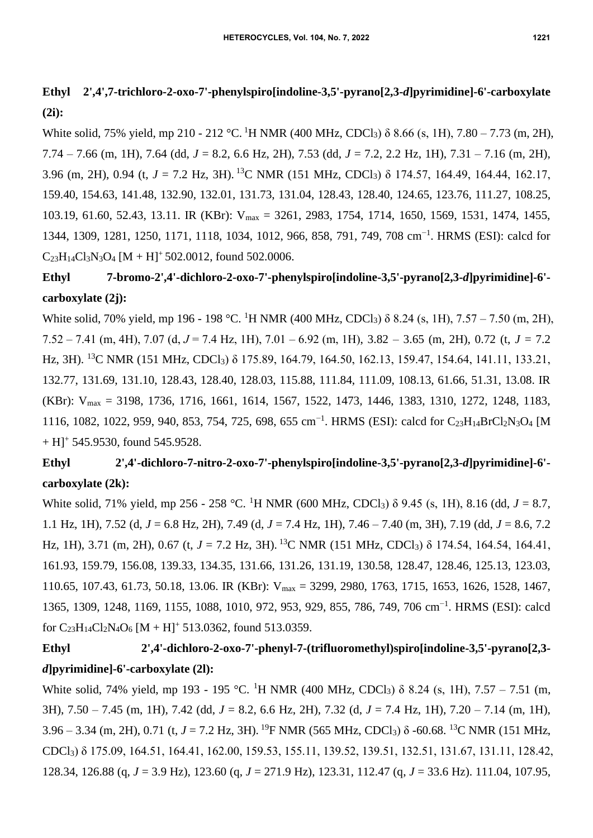## **Ethyl 2',4',7-trichloro-2-oxo-7'-phenylspiro[indoline-3,5'-pyrano[2,3-***d***]pyrimidine]-6'-carboxylate (2i):**

White solid, 75% yield, mp 210 - 212 °C. <sup>1</sup>H NMR (400 MHz, CDCl3) δ 8.66 (s, 1H), 7.80 – 7.73 (m, 2H), 7.74 – 7.66 (m, 1H), 7.64 (dd, *J* = 8.2, 6.6 Hz, 2H), 7.53 (dd, *J* = 7.2, 2.2 Hz, 1H), 7.31 – 7.16 (m, 2H), 3.96 (m, 2H), 0.94 (t, *J* = 7.2 Hz, 3H). <sup>13</sup>C NMR (151 MHz, CDCl3) δ 174.57, 164.49, 164.44, 162.17, 159.40, 154.63, 141.48, 132.90, 132.01, 131.73, 131.04, 128.43, 128.40, 124.65, 123.76, 111.27, 108.25, 103.19, 61.60, 52.43, 13.11. IR (KBr): Vmax = 3261, 2983, 1754, 1714, 1650, 1569, 1531, 1474, 1455, 1344, 1309, 1281, 1250, 1171, 1118, 1034, 1012, 966, 858, 791, 749, 708 cm−1 . HRMS (ESI): calcd for  $C_{23}H_{14}Cl_3N_3O_4$  [M + H]<sup>+</sup> 502.0012, found 502,0006.

# **Ethyl 7-bromo-2',4'-dichloro-2-oxo-7'-phenylspiro[indoline-3,5'-pyrano[2,3-***d***]pyrimidine]-6' carboxylate (2j):**

White solid, 70% yield, mp 196 - 198 °C. <sup>1</sup>H NMR (400 MHz, CDCl3) δ 8.24 (s, 1H), 7.57 – 7.50 (m, 2H), 7.52 – 7.41 (m, 4H), 7.07 (d, *J* = 7.4 Hz, 1H), 7.01 – 6.92 (m, 1H), 3.82 – 3.65 (m, 2H), 0.72 (t, *J* = 7.2 Hz, 3H). <sup>13</sup>C NMR (151 MHz, CDCl3) δ 175.89, 164.79, 164.50, 162.13, 159.47, 154.64, 141.11, 133.21, 132.77, 131.69, 131.10, 128.43, 128.40, 128.03, 115.88, 111.84, 111.09, 108.13, 61.66, 51.31, 13.08. IR (KBr): Vmax = 3198, 1736, 1716, 1661, 1614, 1567, 1522, 1473, 1446, 1383, 1310, 1272, 1248, 1183, 1116, 1082, 1022, 959, 940, 853, 754, 725, 698, 655 cm<sup>-1</sup>. HRMS (ESI): calcd for C<sub>23</sub>H<sub>14</sub>BrCl<sub>2</sub>N<sub>3</sub>O<sub>4</sub> [M  $+ H$ ]<sup>+</sup> 545.9530, found 545.9528.

## **Ethyl 2',4'-dichloro-7-nitro-2-oxo-7'-phenylspiro[indoline-3,5'-pyrano[2,3-***d***]pyrimidine]-6' carboxylate (2k):**

White solid, 71% yield, mp 256 - 258 °C. <sup>1</sup>H NMR (600 MHz, CDCl3) δ 9.45 (s, 1H), 8.16 (dd, *J* = 8.7, 1.1 Hz, 1H), 7.52 (d, *J* = 6.8 Hz, 2H), 7.49 (d, *J* = 7.4 Hz, 1H), 7.46 – 7.40 (m, 3H), 7.19 (dd, *J* = 8.6, 7.2 Hz, 1H), 3.71 (m, 2H), 0.67 (t, *J* = 7.2 Hz, 3H). <sup>13</sup>C NMR (151 MHz, CDCl<sub>3</sub>) δ 174.54, 164.54, 164.41, 161.93, 159.79, 156.08, 139.33, 134.35, 131.66, 131.26, 131.19, 130.58, 128.47, 128.46, 125.13, 123.03, 110.65, 107.43, 61.73, 50.18, 13.06. IR (KBr): Vmax = 3299, 2980, 1763, 1715, 1653, 1626, 1528, 1467, 1365, 1309, 1248, 1169, 1155, 1088, 1010, 972, 953, 929, 855, 786, 749, 706 cm−1 . HRMS (ESI): calcd for  $C_{23}H_{14}Cl_2N_4O_6 [M + H]^+$  513.0362, found 513.0359.

## **Ethyl 2',4'-dichloro-2-oxo-7'-phenyl-7-(trifluoromethyl)spiro[indoline-3,5'-pyrano[2,3** *d***]pyrimidine]-6'-carboxylate (2l):**

White solid, 74% yield, mp 193 - 195 °C. <sup>1</sup>H NMR (400 MHz, CDCl<sub>3</sub>) δ 8.24 (s, 1H), 7.57 – 7.51 (m, 3H), 7.50 – 7.45 (m, 1H), 7.42 (dd, *J* = 8.2, 6.6 Hz, 2H), 7.32 (d, *J* = 7.4 Hz, 1H), 7.20 – 7.14 (m, 1H), 3.96 – 3.34 (m, 2H), 0.71 (t, *J* = 7.2 Hz, 3H). <sup>19</sup>F NMR (565 MHz, CDCl3) δ -60.68. <sup>13</sup>C NMR (151 MHz, CDCl3) δ 175.09, 164.51, 164.41, 162.00, 159.53, 155.11, 139.52, 139.51, 132.51, 131.67, 131.11, 128.42, 128.34, 126.88 (q, *J* = 3.9 Hz), 123.60 (q, *J* = 271.9 Hz), 123.31, 112.47 (q, *J* = 33.6 Hz). 111.04, 107.95,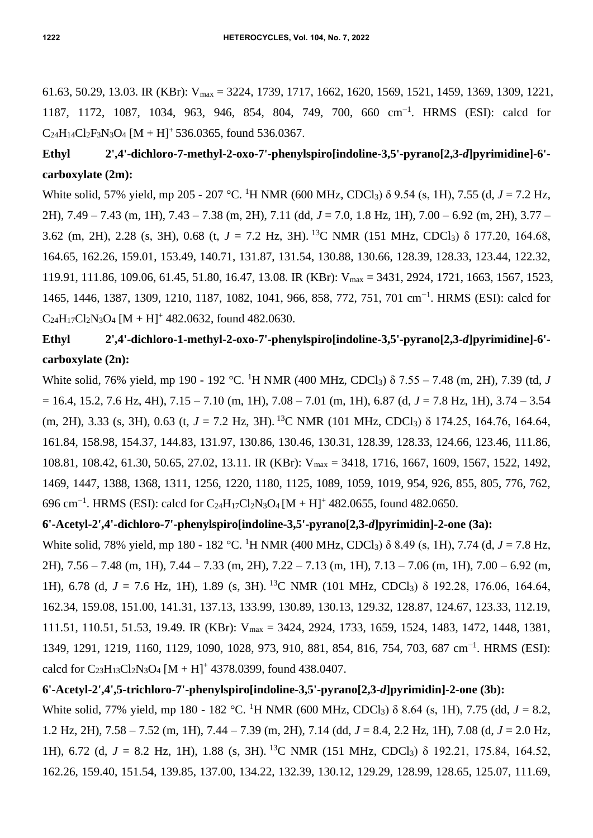61.63, 50.29, 13.03. IR (KBr): Vmax = 3224, 1739, 1717, 1662, 1620, 1569, 1521, 1459, 1369, 1309, 1221, 1187, 1172, 1087, 1034, 963, 946, 854, 804, 749, 700, 660 cm−1 . HRMS (ESI): calcd for  $C_{24}H_{14}Cl_2F_3N_3O_4$  [M + H]<sup>+</sup> 536.0365, found 536.0367.

## **Ethyl 2',4'-dichloro-7-methyl-2-oxo-7'-phenylspiro[indoline-3,5'-pyrano[2,3-***d***]pyrimidine]-6' carboxylate (2m):**

White solid, 57% yield, mp 205 - 207 °C. <sup>1</sup>H NMR (600 MHz, CDCl3) δ 9.54 (s, 1H), 7.55 (d, *J* = 7.2 Hz, 2H), 7.49 – 7.43 (m, 1H), 7.43 – 7.38 (m, 2H), 7.11 (dd, *J* = 7.0, 1.8 Hz, 1H), 7.00 – 6.92 (m, 2H), 3.77 – 3.62 (m, 2H), 2.28 (s, 3H), 0.68 (t, *J* = 7.2 Hz, 3H). <sup>13</sup>C NMR (151 MHz, CDCl3) δ 177.20, 164.68, 164.65, 162.26, 159.01, 153.49, 140.71, 131.87, 131.54, 130.88, 130.66, 128.39, 128.33, 123.44, 122.32, 119.91, 111.86, 109.06, 61.45, 51.80, 16.47, 13.08. IR (KBr): Vmax = 3431, 2924, 1721, 1663, 1567, 1523, 1465, 1446, 1387, 1309, 1210, 1187, 1082, 1041, 966, 858, 772, 751, 701 cm−1 . HRMS (ESI): calcd for  $C_{24}H_{17}Cl_2N_3O_4 [M + H]^+$  482.0632, found 482.0630.

## **Ethyl 2',4'-dichloro-1-methyl-2-oxo-7'-phenylspiro[indoline-3,5'-pyrano[2,3-***d***]pyrimidine]-6' carboxylate (2n):**

White solid, 76% yield, mp 190 - 192 °C. <sup>1</sup>H NMR (400 MHz, CDCl3) δ 7.55 – 7.48 (m, 2H), 7.39 (td, *J*  $= 16.4, 15.2, 7.6$  Hz, 4H),  $7.15 - 7.10$  (m, 1H),  $7.08 - 7.01$  (m, 1H),  $6.87$  (d,  $J = 7.8$  Hz, 1H),  $3.74 - 3.54$ (m, 2H), 3.33 (s, 3H), 0.63 (t, *J* = 7.2 Hz, 3H). <sup>13</sup>C NMR (101 MHz, CDCl3) δ 174.25, 164.76, 164.64, 161.84, 158.98, 154.37, 144.83, 131.97, 130.86, 130.46, 130.31, 128.39, 128.33, 124.66, 123.46, 111.86, 108.81, 108.42, 61.30, 50.65, 27.02, 13.11. IR (KBr): Vmax = 3418, 1716, 1667, 1609, 1567, 1522, 1492, 1469, 1447, 1388, 1368, 1311, 1256, 1220, 1180, 1125, 1089, 1059, 1019, 954, 926, 855, 805, 776, 762, 696 cm<sup>-1</sup>. HRMS (ESI): calcd for C<sub>24</sub>H<sub>17</sub>Cl<sub>2</sub>N<sub>3</sub>O<sub>4</sub> [M + H]<sup>+</sup> 482.0655, found 482.0650.

### **6'-Acetyl-2',4'-dichloro-7'-phenylspiro[indoline-3,5'-pyrano[2,3-***d***]pyrimidin]-2-one (3a):**

White solid, 78% yield, mp 180 - 182 °C. <sup>1</sup>H NMR (400 MHz, CDCl<sub>3</sub>) δ 8.49 (s, 1H), 7.74 (d, *J* = 7.8 Hz, 2H), 7.56 – 7.48 (m, 1H), 7.44 – 7.33 (m, 2H), 7.22 – 7.13 (m, 1H), 7.13 – 7.06 (m, 1H), 7.00 – 6.92 (m, 1H), 6.78 (d, *J* = 7.6 Hz, 1H), 1.89 (s, 3H). <sup>13</sup>C NMR (101 MHz, CDCl3) δ 192.28, 176.06, 164.64, 162.34, 159.08, 151.00, 141.31, 137.13, 133.99, 130.89, 130.13, 129.32, 128.87, 124.67, 123.33, 112.19, 111.51, 110.51, 51.53, 19.49. IR (KBr): Vmax = 3424, 2924, 1733, 1659, 1524, 1483, 1472, 1448, 1381, 1349, 1291, 1219, 1160, 1129, 1090, 1028, 973, 910, 881, 854, 816, 754, 703, 687 cm<sup>-1</sup>. HRMS (ESI): calcd for  $C_{23}H_{13}Cl_2N_3O_4 [M + H]^+$  4378.0399, found 438.0407.

#### **6'-Acetyl-2',4',5-trichloro-7'-phenylspiro[indoline-3,5'-pyrano[2,3-***d***]pyrimidin]-2-one (3b):**

White solid, 77% yield, mp 180 - 182 °C. <sup>1</sup>H NMR (600 MHz, CDCl<sub>3</sub>) δ 8.64 (s, 1H), 7.75 (dd, *J* = 8.2, 1.2 Hz, 2H), 7.58 – 7.52 (m, 1H), 7.44 – 7.39 (m, 2H), 7.14 (dd, *J* = 8.4, 2.2 Hz, 1H), 7.08 (d, *J* = 2.0 Hz, 1H), 6.72 (d, *J* = 8.2 Hz, 1H), 1.88 (s, 3H). <sup>13</sup>C NMR (151 MHz, CDCl3) δ 192.21, 175.84, 164.52, 162.26, 159.40, 151.54, 139.85, 137.00, 134.22, 132.39, 130.12, 129.29, 128.99, 128.65, 125.07, 111.69,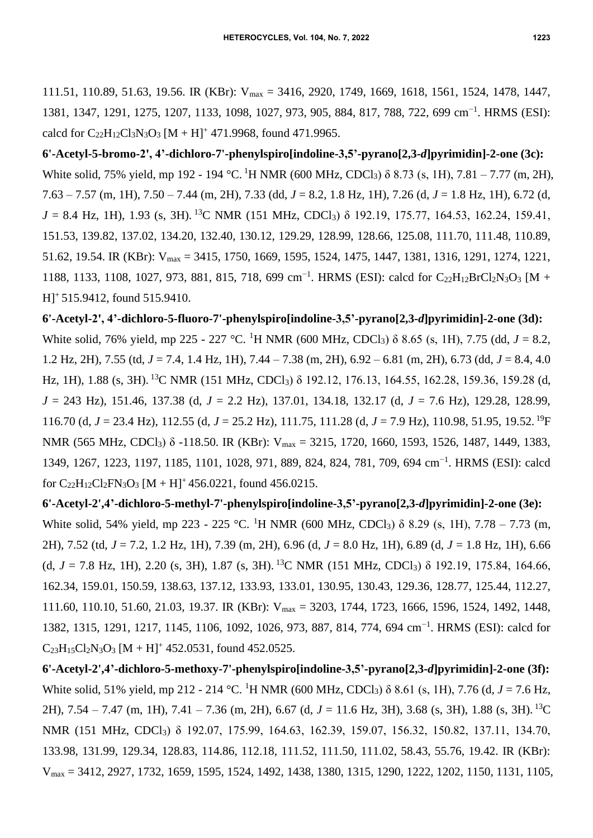**6'-Acetyl-5-bromo-2', 4'-dichloro-7'-phenylspiro[indoline-3,5'-pyrano[2,3-***d***]pyrimidin]-2-one (3c):**  White solid, 75% yield, mp 192 - 194 °C. <sup>1</sup>H NMR (600 MHz, CDCl<sub>3</sub>) δ 8.73 (s, 1H), 7.81 – 7.77 (m, 2H), 7.63 – 7.57 (m, 1H), 7.50 – 7.44 (m, 2H), 7.33 (dd, *J* = 8.2, 1.8 Hz, 1H), 7.26 (d, *J* = 1.8 Hz, 1H), 6.72 (d,  $J = 8.4$  Hz, 1H), 1.93 (s, 3H). <sup>13</sup>C NMR (151 MHz, CDCl<sub>3</sub>) δ 192.19, 175.77, 164.53, 162.24, 159.41, 151.53, 139.82, 137.02, 134.20, 132.40, 130.12, 129.29, 128.99, 128.66, 125.08, 111.70, 111.48, 110.89, 51.62, 19.54. IR (KBr): Vmax = 3415, 1750, 1669, 1595, 1524, 1475, 1447, 1381, 1316, 1291, 1274, 1221, 1188, 1133, 1108, 1027, 973, 881, 815, 718, 699 cm<sup>-1</sup>. HRMS (ESI): calcd for C<sub>22</sub>H<sub>12</sub>BrCl<sub>2</sub>N<sub>3</sub>O<sub>3</sub> [M + H]<sup>+</sup> 515.9412, found 515.9410.

**6'-Acetyl-2', 4'-dichloro-5-fluoro-7'-phenylspiro[indoline-3,5'-pyrano[2,3-***d***]pyrimidin]-2-one (3d):** White solid, 76% yield, mp 225 - 227 °C. <sup>1</sup>H NMR (600 MHz, CDCl3) δ 8.65 (s, 1H), 7.75 (dd, *J* = 8.2, 1.2 Hz, 2H), 7.55 (td, *J* = 7.4, 1.4 Hz, 1H), 7.44 – 7.38 (m, 2H), 6.92 – 6.81 (m, 2H), 6.73 (dd, *J* = 8.4, 4.0 Hz, 1H), 1.88 (s, 3H). <sup>13</sup>C NMR (151 MHz, CDCl<sub>3</sub>) δ 192.12, 176.13, 164.55, 162.28, 159.36, 159.28 (d, *J* = 243 Hz), 151.46, 137.38 (d, *J* = 2.2 Hz), 137.01, 134.18, 132.17 (d, *J* = 7.6 Hz), 129.28, 128.99, 116.70 (d, *J* = 23.4 Hz), 112.55 (d, *J* = 25.2 Hz), 111.75, 111.28 (d, *J* = 7.9 Hz), 110.98, 51.95, 19.52. <sup>19</sup>F NMR (565 MHz, CDCl<sub>3</sub>) δ -118.50. IR (KBr): V<sub>max</sub> = 3215, 1720, 1660, 1593, 1526, 1487, 1449, 1383, 1349, 1267, 1223, 1197, 1185, 1101, 1028, 971, 889, 824, 824, 781, 709, 694 cm−1 . HRMS (ESI): calcd for  $C_{22}H_{12}Cl_2FN_3O_3$  [M + H]<sup>+</sup> 456.0221, found 456.0215.

**6'-Acetyl-2',4'-dichloro-5-methyl-7'-phenylspiro[indoline-3,5'-pyrano[2,3-***d***]pyrimidin]-2-one (3e):** White solid, 54% yield, mp 223 - 225 °C. <sup>1</sup>H NMR (600 MHz, CDCl<sub>3</sub>)  $\delta$  8.29 (s, 1H), 7.78 – 7.73 (m, 2H), 7.52 (td, *J* = 7.2, 1.2 Hz, 1H), 7.39 (m, 2H), 6.96 (d, *J* = 8.0 Hz, 1H), 6.89 (d, *J* = 1.8 Hz, 1H), 6.66 (d,  $J = 7.8$  Hz, 1H), 2.20 (s, 3H), 1.87 (s, 3H). <sup>13</sup>C NMR (151 MHz, CDCl<sub>3</sub>)  $\delta$  192.19, 175.84, 164.66, 162.34, 159.01, 150.59, 138.63, 137.12, 133.93, 133.01, 130.95, 130.43, 129.36, 128.77, 125.44, 112.27, 111.60, 110.10, 51.60, 21.03, 19.37. IR (KBr): Vmax = 3203, 1744, 1723, 1666, 1596, 1524, 1492, 1448, 1382, 1315, 1291, 1217, 1145, 1106, 1092, 1026, 973, 887, 814, 774, 694 cm−1 . HRMS (ESI): calcd for  $C_{23}H_{15}Cl_2N_3O_3$  [M + H]<sup>+</sup> 452.0531, found 452.0525.

**6'-Acetyl-2',4'-dichloro-5-methoxy-7'-phenylspiro[indoline-3,5'-pyrano[2,3-***d***]pyrimidin]-2-one (3f):**  White solid, 51% yield, mp 212 - 214 °C. <sup>1</sup>H NMR (600 MHz, CDCl3) δ 8.61 (s, 1H), 7.76 (d, *J* = 7.6 Hz, 2H), 7.54 – 7.47 (m, 1H), 7.41 – 7.36 (m, 2H), 6.67 (d, *J* = 11.6 Hz, 3H), 3.68 (s, 3H), 1.88 (s, 3H). <sup>13</sup>C NMR (151 MHz, CDCl3) δ 192.07, 175.99, 164.63, 162.39, 159.07, 156.32, 150.82, 137.11, 134.70, 133.98, 131.99, 129.34, 128.83, 114.86, 112.18, 111.52, 111.50, 111.02, 58.43, 55.76, 19.42. IR (KBr): Vmax = 3412, 2927, 1732, 1659, 1595, 1524, 1492, 1438, 1380, 1315, 1290, 1222, 1202, 1150, 1131, 1105,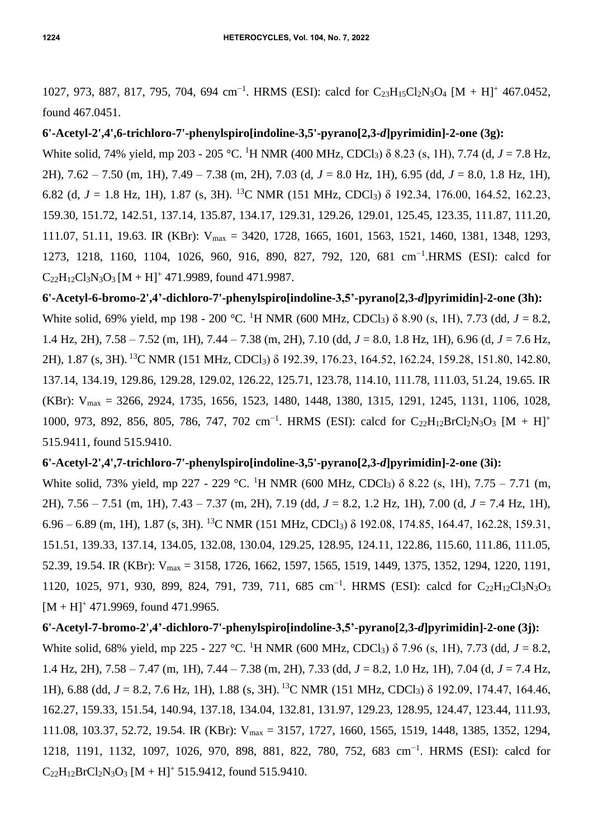1027, 973, 887, 817, 795, 704, 694 cm<sup>-1</sup>. HRMS (ESI): calcd for C<sub>23</sub>H<sub>15</sub>Cl<sub>2</sub>N<sub>3</sub>O<sub>4</sub> [M + H]<sup>+</sup> 467.0452, found 467.0451.

### **6'-Acetyl-2',4',6-trichloro-7'-phenylspiro[indoline-3,5'-pyrano[2,3-***d***]pyrimidin]-2-one (3g):**

White solid, 74% yield, mp 203 - 205 °C. <sup>1</sup>H NMR (400 MHz, CDCl3) δ 8.23 (s, 1H), 7.74 (d, *J* = 7.8 Hz, 2H), 7.62 – 7.50 (m, 1H), 7.49 – 7.38 (m, 2H), 7.03 (d, *J* = 8.0 Hz, 1H), 6.95 (dd, *J* = 8.0, 1.8 Hz, 1H), 6.82 (d,  $J = 1.8$  Hz, 1H), 1.87 (s, 3H). <sup>13</sup>C NMR (151 MHz, CDCl<sub>3</sub>)  $\delta$  192.34, 176.00, 164.52, 162.23, 159.30, 151.72, 142.51, 137.14, 135.87, 134.17, 129.31, 129.26, 129.01, 125.45, 123.35, 111.87, 111.20, 111.07, 51.11, 19.63. IR (KBr): Vmax = 3420, 1728, 1665, 1601, 1563, 1521, 1460, 1381, 1348, 1293, 1273, 1218, 1160, 1104, 1026, 960, 916, 890, 827, 792, 120, 681 cm−1 .HRMS (ESI): calcd for  $C_{22}H_{12}Cl_3N_3O_3 [M + H]^+$  471.9989, found 471.9987.

**6'-Acetyl-6-bromo-2',4'-dichloro-7'-phenylspiro[indoline-3,5'-pyrano[2,3-***d***]pyrimidin]-2-one (3h):**  White solid, 69% yield, mp 198 - 200 °C. <sup>1</sup>H NMR (600 MHz, CDCl3) δ 8.90 (s, 1H), 7.73 (dd, *J* = 8.2, 1.4 Hz, 2H), 7.58 – 7.52 (m, 1H), 7.44 – 7.38 (m, 2H), 7.10 (dd, *J* = 8.0, 1.8 Hz, 1H), 6.96 (d, *J* = 7.6 Hz, 2H), 1.87 (s, 3H). <sup>13</sup>C NMR (151 MHz, CDCl3) δ 192.39, 176.23, 164.52, 162.24, 159.28, 151.80, 142.80, 137.14, 134.19, 129.86, 129.28, 129.02, 126.22, 125.71, 123.78, 114.10, 111.78, 111.03, 51.24, 19.65. IR (KBr): Vmax = 3266, 2924, 1735, 1656, 1523, 1480, 1448, 1380, 1315, 1291, 1245, 1131, 1106, 1028, 1000, 973, 892, 856, 805, 786, 747, 702 cm<sup>-1</sup>. HRMS (ESI): calcd for C<sub>22</sub>H<sub>12</sub>BrCl<sub>2</sub>N<sub>3</sub>O<sub>3</sub> [M + H]<sup>+</sup> 515.9411, found 515.9410.

### **6'-Acetyl-2',4',7-trichloro-7'-phenylspiro[indoline-3,5'-pyrano[2,3-***d***]pyrimidin]-2-one (3i):**

White solid, 73% yield, mp 227 - 229 °C. <sup>1</sup>H NMR (600 MHz, CDCl<sub>3</sub>)  $\delta$  8.22 (s, 1H), 7.75 – 7.71 (m, 2H), 7.56 – 7.51 (m, 1H), 7.43 – 7.37 (m, 2H), 7.19 (dd, *J* = 8.2, 1.2 Hz, 1H), 7.00 (d, *J* = 7.4 Hz, 1H),  $6.96 - 6.89$  (m, 1H), 1.87 (s, 3H). <sup>13</sup>C NMR (151 MHz, CDCl<sub>3</sub>)  $\delta$  192.08, 174.85, 164.47, 162.28, 159.31, 151.51, 139.33, 137.14, 134.05, 132.08, 130.04, 129.25, 128.95, 124.11, 122.86, 115.60, 111.86, 111.05, 52.39, 19.54. IR (KBr): Vmax = 3158, 1726, 1662, 1597, 1565, 1519, 1449, 1375, 1352, 1294, 1220, 1191, 1120, 1025, 971, 930, 899, 824, 791, 739, 711, 685 cm<sup>-1</sup>. HRMS (ESI): calcd for C<sub>22</sub>H<sub>12</sub>Cl<sub>3</sub>N<sub>3</sub>O<sub>3</sub>  $[M + H]$ <sup>+</sup> 471.9969, found 471.9965.

### **6'-Acetyl-7-bromo-2',4'-dichloro-7'-phenylspiro[indoline-3,5'-pyrano[2,3-***d***]pyrimidin]-2-one (3j):**

White solid, 68% yield, mp 225 - 227 °C. <sup>1</sup>H NMR (600 MHz, CDCl3) δ 7.96 (s, 1H), 7.73 (dd, *J* = 8.2, 1.4 Hz, 2H), 7.58 – 7.47 (m, 1H), 7.44 – 7.38 (m, 2H), 7.33 (dd, *J* = 8.2, 1.0 Hz, 1H), 7.04 (d, *J* = 7.4 Hz, 1H), 6.88 (dd, *J* = 8.2, 7.6 Hz, 1H), 1.88 (s, 3H). <sup>13</sup>C NMR (151 MHz, CDCl3) δ 192.09, 174.47, 164.46, 162.27, 159.33, 151.54, 140.94, 137.18, 134.04, 132.81, 131.97, 129.23, 128.95, 124.47, 123.44, 111.93, 111.08, 103.37, 52.72, 19.54. IR (KBr): Vmax = 3157, 1727, 1660, 1565, 1519, 1448, 1385, 1352, 1294, 1218, 1191, 1132, 1097, 1026, 970, 898, 881, 822, 780, 752, 683 cm−1 . HRMS (ESI): calcd for  $C_{22}H_{12}BrCl<sub>2</sub>N<sub>3</sub>O<sub>3</sub> [M + H]<sup>+</sup> 515.9412, found 515.9410.$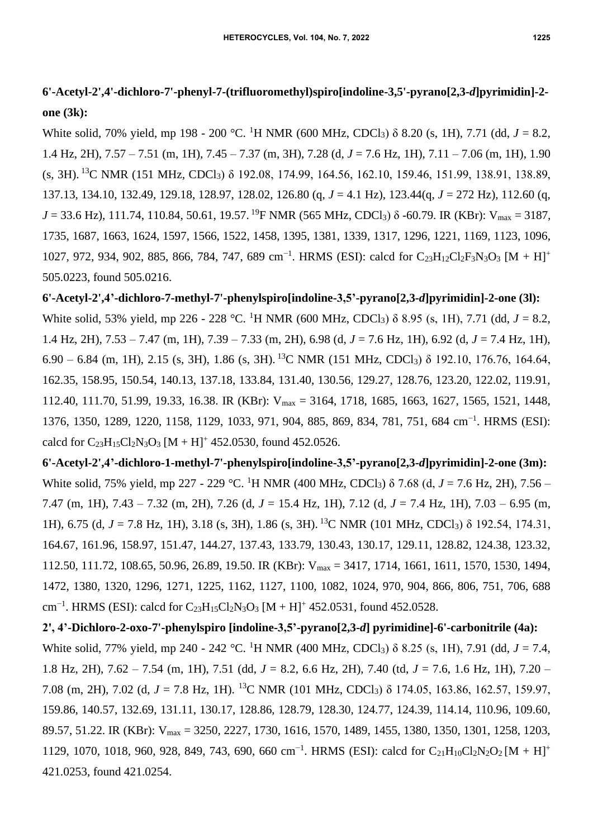## **6'-Acetyl-2',4'-dichloro-7'-phenyl-7-(trifluoromethyl)spiro[indoline-3,5'-pyrano[2,3-***d***]pyrimidin]-2 one (3k):**

White solid, 70% yield, mp 198 - 200 °C. <sup>1</sup>H NMR (600 MHz, CDCl<sub>3</sub>) δ 8.20 (s, 1H), 7.71 (dd, *J* = 8.2, 1.4 Hz, 2H), 7.57 – 7.51 (m, 1H), 7.45 – 7.37 (m, 3H), 7.28 (d, *J* = 7.6 Hz, 1H), 7.11 – 7.06 (m, 1H), 1.90 (s, 3H). <sup>13</sup>C NMR (151 MHz, CDCl3) δ 192.08, 174.99, 164.56, 162.10, 159.46, 151.99, 138.91, 138.89, 137.13, 134.10, 132.49, 129.18, 128.97, 128.02, 126.80 (q, *J* = 4.1 Hz), 123.44(q, *J* = 272 Hz), 112.60 (q,  $J = 33.6$  Hz), 111.74, 110.84, 50.61, 19.57. <sup>19</sup>F NMR (565 MHz, CDCl<sub>3</sub>) δ -60.79. IR (KBr): V<sub>max</sub> = 3187, 1735, 1687, 1663, 1624, 1597, 1566, 1522, 1458, 1395, 1381, 1339, 1317, 1296, 1221, 1169, 1123, 1096, 1027, 972, 934, 902, 885, 866, 784, 747, 689 cm<sup>-1</sup>. HRMS (ESI): calcd for C<sub>23</sub>H<sub>12</sub>Cl<sub>2</sub>F<sub>3</sub>N<sub>3</sub>O<sub>3</sub> [M + H]<sup>+</sup> 505.0223, found 505.0216.

**6'-Acetyl-2',4'-dichloro-7-methyl-7'-phenylspiro[indoline-3,5'-pyrano[2,3-***d***]pyrimidin]-2-one (3l):** White solid, 53% yield, mp 226 - 228 °C. <sup>1</sup>H NMR (600 MHz, CDCl<sub>3</sub>) δ 8.95 (s, 1H), 7.71 (dd, *J* = 8.2, 1.4 Hz, 2H), 7.53 – 7.47 (m, 1H), 7.39 – 7.33 (m, 2H), 6.98 (d, *J* = 7.6 Hz, 1H), 6.92 (d, *J* = 7.4 Hz, 1H), 6.90 – 6.84 (m, 1H), 2.15 (s, 3H), 1.86 (s, 3H). <sup>13</sup>C NMR (151 MHz, CDCl3) δ 192.10, 176.76, 164.64, 162.35, 158.95, 150.54, 140.13, 137.18, 133.84, 131.40, 130.56, 129.27, 128.76, 123.20, 122.02, 119.91, 112.40, 111.70, 51.99, 19.33, 16.38. IR (KBr): Vmax = 3164, 1718, 1685, 1663, 1627, 1565, 1521, 1448, 1376, 1350, 1289, 1220, 1158, 1129, 1033, 971, 904, 885, 869, 834, 781, 751, 684 cm−1 . HRMS (ESI): calcd for  $C_{23}H_{15}Cl_2N_3O_3$  [M + H]<sup>+</sup> 452.0530, found 452.0526.

**6'-Acetyl-2',4'-dichloro-1-methyl-7'-phenylspiro[indoline-3,5'-pyrano[2,3-***d***]pyrimidin]-2-one (3m):** White solid, 75% yield, mp 227 - 229 °C. <sup>1</sup>H NMR (400 MHz, CDCl3) δ 7.68 (d, *J* = 7.6 Hz, 2H), 7.56 – 7.47 (m, 1H), 7.43 – 7.32 (m, 2H), 7.26 (d, *J* = 15.4 Hz, 1H), 7.12 (d, *J* = 7.4 Hz, 1H), 7.03 – 6.95 (m, 1H), 6.75 (d, *J* = 7.8 Hz, 1H), 3.18 (s, 3H), 1.86 (s, 3H). <sup>13</sup>C NMR (101 MHz, CDCl3) δ 192.54, 174.31, 164.67, 161.96, 158.97, 151.47, 144.27, 137.43, 133.79, 130.43, 130.17, 129.11, 128.82, 124.38, 123.32, 112.50, 111.72, 108.65, 50.96, 26.89, 19.50. IR (KBr): Vmax = 3417, 1714, 1661, 1611, 1570, 1530, 1494, 1472, 1380, 1320, 1296, 1271, 1225, 1162, 1127, 1100, 1082, 1024, 970, 904, 866, 806, 751, 706, 688 cm<sup>-1</sup>. HRMS (ESI): calcd for C<sub>23</sub>H<sub>15</sub>Cl<sub>2</sub>N<sub>3</sub>O<sub>3</sub> [M + H]<sup>+</sup> 452.0531, found 452.0528.

**2', 4'-Dichloro-2-oxo-7'-phenylspiro [indoline-3,5'-pyrano[2,3-***d***] pyrimidine]-6'-carbonitrile (4a):**  White solid, 77% yield, mp 240 - 242 °C. <sup>1</sup>H NMR (400 MHz, CDCl3) δ 8.25 (s, 1H), 7.91 (dd, *J* = 7.4, 1.8 Hz, 2H), 7.62 – 7.54 (m, 1H), 7.51 (dd, *J* = 8.2, 6.6 Hz, 2H), 7.40 (td, *J* = 7.6, 1.6 Hz, 1H), 7.20 – 7.08 (m, 2H), 7.02 (d, *J* = 7.8 Hz, 1H). <sup>13</sup>C NMR (101 MHz, CDCl3) δ 174.05, 163.86, 162.57, 159.97, 159.86, 140.57, 132.69, 131.11, 130.17, 128.86, 128.79, 128.30, 124.77, 124.39, 114.14, 110.96, 109.60, 89.57, 51.22. IR (KBr): Vmax = 3250, 2227, 1730, 1616, 1570, 1489, 1455, 1380, 1350, 1301, 1258, 1203, 1129, 1070, 1018, 960, 928, 849, 743, 690, 660 cm<sup>-1</sup>. HRMS (ESI): calcd for C<sub>21</sub>H<sub>10</sub>Cl<sub>2</sub>N<sub>2</sub>O<sub>2</sub> [M + H]<sup>+</sup> 421.0253, found 421.0254.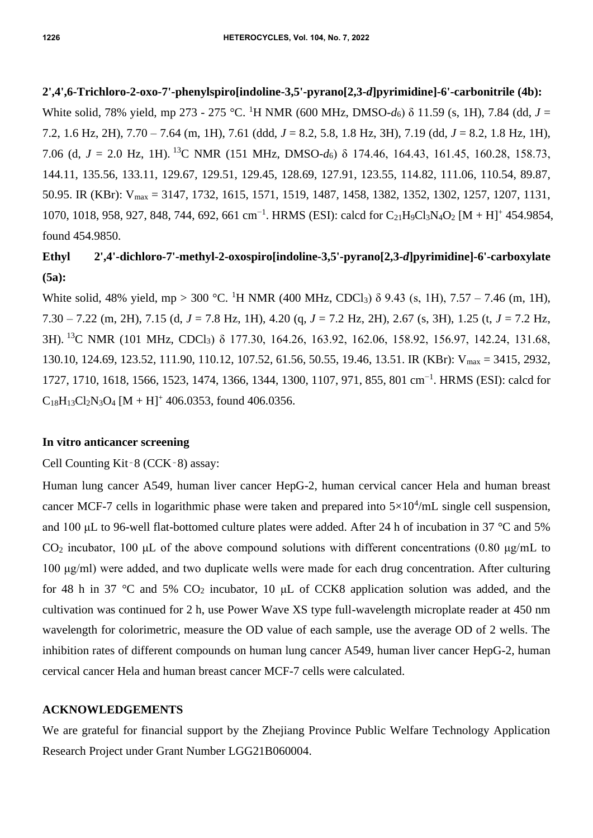**2',4',6-Trichloro-2-oxo-7'-phenylspiro[indoline-3,5'-pyrano[2,3-***d***]pyrimidine]-6'-carbonitrile (4b):** White solid, 78% yield, mp 273 - 275 °C. <sup>1</sup>H NMR (600 MHz, DMSO-*d*6) δ 11.59 (s, 1H), 7.84 (dd, *J* = 7.2, 1.6 Hz, 2H), 7.70 – 7.64 (m, 1H), 7.61 (ddd, *J* = 8.2, 5.8, 1.8 Hz, 3H), 7.19 (dd, *J* = 8.2, 1.8 Hz, 1H), 7.06 (d, *J* = 2.0 Hz, 1H). <sup>13</sup>C NMR (151 MHz, DMSO-*d*6) δ 174.46, 164.43, 161.45, 160.28, 158.73, 144.11, 135.56, 133.11, 129.67, 129.51, 129.45, 128.69, 127.91, 123.55, 114.82, 111.06, 110.54, 89.87, 50.95. IR (KBr): Vmax = 3147, 1732, 1615, 1571, 1519, 1487, 1458, 1382, 1352, 1302, 1257, 1207, 1131, 1070, 1018, 958, 927, 848, 744, 692, 661 cm<sup>-1</sup>. HRMS (ESI): calcd for C<sub>21</sub>H<sub>9</sub>Cl<sub>3</sub>N<sub>4</sub>O<sub>2</sub> [M + H]<sup>+</sup> 454.9854,

# **Ethyl 2',4'-dichloro-7'-methyl-2-oxospiro[indoline-3,5'-pyrano[2,3-***d***]pyrimidine]-6'-carboxylate (5a):**

White solid, 48% yield, mp > 300 °C. <sup>1</sup>H NMR (400 MHz, CDCl<sub>3</sub>)  $\delta$  9.43 (s, 1H), 7.57 – 7.46 (m, 1H), 7.30 – 7.22 (m, 2H), 7.15 (d, *J* = 7.8 Hz, 1H), 4.20 (q, *J* = 7.2 Hz, 2H), 2.67 (s, 3H), 1.25 (t, *J* = 7.2 Hz, 3H). <sup>13</sup>C NMR (101 MHz, CDCl3) δ 177.30, 164.26, 163.92, 162.06, 158.92, 156.97, 142.24, 131.68, 130.10, 124.69, 123.52, 111.90, 110.12, 107.52, 61.56, 50.55, 19.46, 13.51. IR (KBr): Vmax = 3415, 2932, 1727, 1710, 1618, 1566, 1523, 1474, 1366, 1344, 1300, 1107, 971, 855, 801 cm−1 . HRMS (ESI): calcd for  $C_{18}H_{13}Cl_2N_3O_4 [M + H]^+$  406.0353, found 406.0356.

### **In vitro anticancer screening**

### Cell Counting Kit‑8 (CCK‑8) assay:

Human lung cancer A549, human liver cancer HepG-2, human cervical cancer Hela and human breast cancer MCF-7 cells in logarithmic phase were taken and prepared into  $5\times10^4$ /mL single cell suspension, and 100 μL to 96-well flat-bottomed culture plates were added. After 24 h of incubation in 37 °C and 5% CO<sub>2</sub> incubator, 100 μL of the above compound solutions with different concentrations (0.80 μg/mL to 100 μg/ml) were added, and two duplicate wells were made for each drug concentration. After culturing for 48 h in 37 °C and 5%  $CO_2$  incubator, 10 µL of CCK8 application solution was added, and the cultivation was continued for 2 h, use Power Wave XS type full-wavelength microplate reader at 450 nm wavelength for colorimetric, measure the OD value of each sample, use the average OD of 2 wells. The inhibition rates of different compounds on human lung cancer A549, human liver cancer HepG-2, human cervical cancer Hela and human breast cancer MCF-7 cells were calculated.

#### **ACKNOWLEDGEMENTS**

We are grateful for financial support by the Zhejiang Province Public Welfare Technology Application Research Project under Grant Number LGG21B060004.

found 454.9850.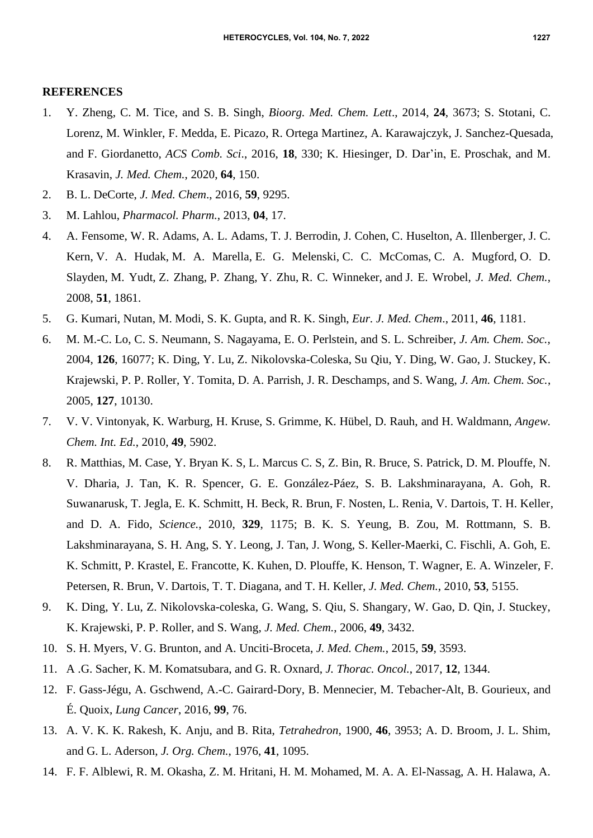#### **REFERENCES**

- 1. Y. Zheng, C. M. Tice, and S. B. Singh, *Bioorg. Med. Chem. Lett*., 2014, **24**, 3673; S. Stotani, C. Lorenz, M. Winkler, F. Medda, E. Picazo, R. Ortega Martinez, A. Karawajczyk, J. Sanchez-Quesada, and F. Giordanetto, *ACS Comb. Sci*., 2016, **18**, 330; K. Hiesinger, D. Dar'in, E. Proschak, and M. Krasavin, *J. Med. Chem.*, 2020, **64**, 150.
- 2. B. L. DeCorte, *J. Med. Chem*., 2016, **59**, 9295.
- 3. M. Lahlou, *Pharmacol. Pharm.*, 2013, **04**, 17.
- 4. A. Fensome, W. R. Adams, A. L. Adams, T. J. Berrodin, J. Cohen, C. Huselton, A. Illenberger, J. C. Kern, V. A. Hudak, M. A. Marella, E. G. Melenski, C. C. McComas, C. A. Mugford, O. D. Slayden, M. Yudt, Z. Zhang, P. Zhang, Y. Zhu, R. C. Winneker, and J. E. Wrobel, *J. Med. Chem.*, 2008, **51**, 1861.
- 5. G. Kumari, Nutan, M. Modi, S. K. Gupta, and R. K. Singh, *Eur. J. Med. Chem*., 2011, **46**, 1181.
- 6. M. M.-C. Lo, C. S. Neumann, S. Nagayama, E. O. Perlstein, and S. L. Schreiber, *J. Am. Chem. Soc.*, 2004, **126**, 16077; K. [Ding,](https://pubs.acs.org/action/doSearch?field1=Contrib&text1=Ke++Ding) Y. [Lu,](https://pubs.acs.org/action/doSearch?field1=Contrib&text1=Yipin++Lu) Z. [Nikolovska-Coleska,](https://pubs.acs.org/action/doSearch?field1=Contrib&text1=Zaneta++Nikolovska-Coleska) [Su Qiu,](https://pubs.acs.org/action/doSearch?field1=Contrib&text1=Su++Qiu) Y. [Ding,](https://pubs.acs.org/action/doSearch?field1=Contrib&text1=Yousong++Ding) W. [Gao,](https://pubs.acs.org/action/doSearch?field1=Contrib&text1=Wei++Gao) J. [Stuckey,](https://pubs.acs.org/action/doSearch?field1=Contrib&text1=Jeanne++Stuckey) [K.](https://pubs.acs.org/action/doSearch?field1=Contrib&text1=Krzysztof++Krajewski) [Krajewski,](https://pubs.acs.org/action/doSearch?field1=Contrib&text1=Krzysztof++Krajewski) P. [P. Roller,](https://pubs.acs.org/action/doSearch?field1=Contrib&text1=Peter+P.++Roller) Y. [Tomita,](https://pubs.acs.org/action/doSearch?field1=Contrib&text1=York++Tomita) D. [A. Parrish,](https://pubs.acs.org/action/doSearch?field1=Contrib&text1=Damon+A.++Parrish) J. [R. Deschamps,](https://pubs.acs.org/action/doSearch?field1=Contrib&text1=Jeffrey+R.++Deschamps) and S. [Wang,](https://pubs.acs.org/action/doSearch?field1=Contrib&text1=Shaomeng++Wang) *J. Am. Chem. Soc.*, 2005, **127**, 10130.
- 7. V. V. Vintonyak, K. Warburg, H. Kruse, S. Grimme, K. Hübel, D. Rauh, and H. Waldmann, *Angew. Chem. Int. Ed.*, 2010, **49**, 5902.
- 8. R. Matthias, M. Case, Y. Bryan K. S, L. Marcus C. S, Z. Bin, R. Bruce, S. Patrick, D. M. Plouffe, N. V. Dharia, J. Tan, K. R. Spencer, G. E. González-Páez, S. B. Lakshminarayana, A. Goh, R. Suwanarusk, T. Jegla, E. K. Schmitt, H. Beck, R. Brun, F. Nosten, L. Renia, V. Dartois, T. H. Keller, and D. A. Fido, *Science.*, 2010, **329**, 1175; B. K. S. Yeung, B. Zou, M. Rottmann, S. B. Lakshminarayana, S. H. Ang, S. Y. Leong, J. Tan, J. Wong, S. Keller-Maerki, C. Fischli, A. Goh, E. K. Schmitt, P. Krastel, E. Francotte, K. Kuhen, D. Plouffe, K. Henson, T. Wagner, E. A. Winzeler, F. Petersen, R. Brun, V. Dartois, T. T. Diagana, and T. H. Keller, *J. Med. Chem.*, 2010, **53**, 5155.
- 9. K. Ding, Y. Lu, Z. Nikolovska-coleska, G. Wang, S. Qiu, S. Shangary, W. Gao, D. Qin, J. Stuckey, K. Krajewski, P. P. Roller, and S. Wang, *J. Med. Chem.*, 2006, **49**, 3432.
- 10. S. H. Myers, V. G. Brunton, and A. Unciti-Broceta, *J. Med. Chem.*, 2015, **59**, 3593.
- 11. A .G. Sacher, K. M. Komatsubara, and G. R. Oxnard, *J. Thorac. Oncol.*, 2017, **12**, 1344.
- 12. F. Gass-Jégu, A. Gschwend, A.-C. Gairard-Dory, B. Mennecier, M. Tebacher-Alt, B. Gourieux, and É. Quoix, *Lung Cancer*, 2016, **99**, 76.
- 13. A. V. K. K. Rakesh, K. Anju, and B. Rita, *Tetrahedron*, 1900, **46**, 3953; A. D. Broom, J. L. Shim, and G. L. Aderson, *J. Org. Chem.*, 1976, **41**, 1095.
- 14. F. F. Alblewi, R. M. Okasha, Z. M. Hritani, H. M. Mohamed, M. A. A. El-Nassag, A. H. Halawa, A.